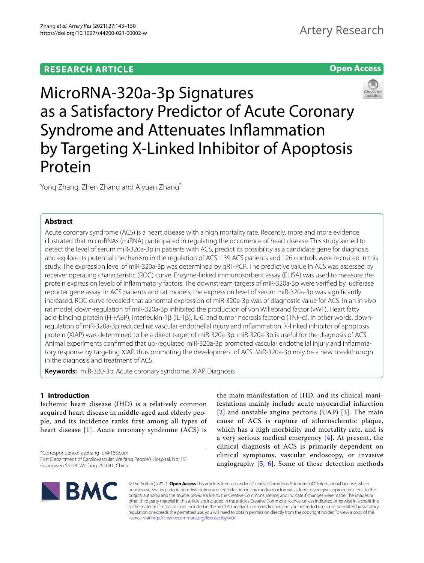# **Open Access**



MicroRNA-320a-3p Signatures as a Satisfactory Predictor of Acute Coronary Syndrome and Attenuates Infammation by Targeting X-Linked Inhibitor of Apoptosis Protein

Yong Zhang, Zhen Zhang and Aiyuan Zhang\*

# **Abstract**

Acute coronary syndrome (ACS) is a heart disease with a high mortality rate. Recently, more and more evidence illustrated that microRNAs (miRNA) participated in regulating the occurrence of heart disease. This study aimed to detect the level of serum miR-320a-3p in patients with ACS, predict its possibility as a candidate gene for diagnosis, and explore its potential mechanism in the regulation of ACS. 139 ACS patients and 126 controls were recruited in this study. The expression level of miR-320a-3p was determined by qRT-PCR. The predictive value in ACS was assessed by receiver operating characteristic (ROC) curve. Enzyme-linked immunosorbent assay (ELISA) was used to measure the protein expression levels of infammatory factors. The downstream targets of miR-320a-3p were verifed by luciferase reporter gene assay. In ACS patients and rat models, the expression level of serum miR-320a-3p was signifcantly increased. ROC curve revealed that abnormal expression of miR-320a-3p was of diagnostic value for ACS. In an in vivo rat model, down-regulation of miR-320a-3p inhibited the production of von Willebrand factor (vWF), Heart fatty acid-binding protein (H-FABP), interleukin-1β (IL-1β), IL-6, and tumor necrosis factor-α (TNF-α). In other words, downregulation of miR-320a-3p reduced rat vascular endothelial injury and infammation. X-linked inhibitor of apoptosis protein (XIAP) was determined to be a direct target of miR-320a-3p. miR-320a-3p is useful for the diagnosis of ACS. Animal experiments confrmed that up-regulated miR-320a-3p promoted vascular endothelial injury and infammatory response by targeting XIAP, thus promoting the development of ACS. MiR-320a-3p may be a new breakthrough in the diagnosis and treatment of ACS.

**Keywords:** miR-320-3p, Acute coronary syndrome, XIAP, Diagnosis

# **1 Introduction**

Ischemic heart disease (IHD) is a relatively common acquired heart disease in middle-aged and elderly people, and its incidence ranks first among all types of heart disease [[1](#page-6-0)]. Acute coronary syndrome (ACS) is

\*Correspondence: ayzhang\_dr@163.com First Department of Cardiovascular, Weifang People's Hospital, No. 151 Guangwen Street, Weifang 261041, China

the main manifestation of IHD, and its clinical manifestations mainly include acute myocardial infarction [[2](#page-6-1)] and unstable angina pectoris (UAP) [[3\]](#page-6-2). The main cause of ACS is rupture of atherosclerotic plaque, which has a high morbidity and mortality rate, and is a very serious medical emergency [[4](#page-7-0)]. At present, the clinical diagnosis of ACS is primarily dependent on clinical symptoms, vascular endoscopy, or invasive angiography [[5,](#page-7-1) [6](#page-7-2)]. Some of these detection methods



© The Author(s) 2021. **Open Access** This article is licensed under a Creative Commons Attribution 4.0 International License, which permits use, sharing, adaptation, distribution and reproduction in any medium or format, as long as you give appropriate credit to the original author(s) and the source, provide a link to the Creative Commons licence, and indicate if changes were made. The images or other third party material in this article are included in the article's Creative Commons licence, unless indicated otherwise in a credit line to the material. If material is not included in the article's Creative Commons licence and your intended use is not permitted by statutory regulation or exceeds the permitted use, you will need to obtain permission directly from the copyright holder. To view a copy of this licence, visit [http://creativecommons.org/licenses/by/4.0/.](http://creativecommons.org/licenses/by/4.0/)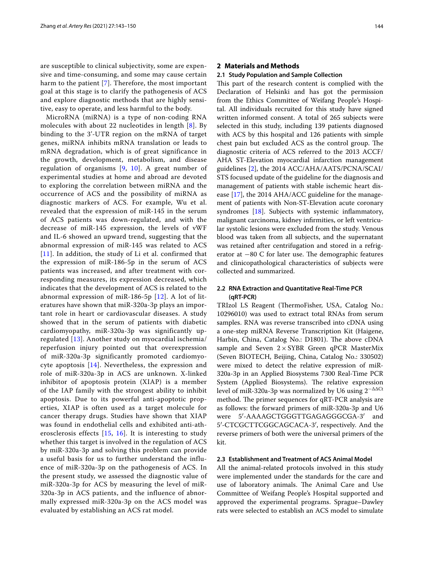are susceptible to clinical subjectivity, some are expensive and time-consuming, and some may cause certain harm to the patient [[7](#page-7-3)]. Therefore, the most important goal at this stage is to clarify the pathogenesis of ACS and explore diagnostic methods that are highly sensitive, easy to operate, and less harmful to the body.

MicroRNA (miRNA) is a type of non-coding RNA molecules with about 22 nucleotides in length [[8\]](#page-7-4). By binding to the 3'-UTR region on the mRNA of target genes, miRNA inhibits mRNA translation or leads to mRNA degradation, which is of great significance in the growth, development, metabolism, and disease regulation of organisms  $[9, 10]$  $[9, 10]$  $[9, 10]$  $[9, 10]$ . A great number of experimental studies at home and abroad are devoted to exploring the correlation between miRNA and the occurrence of ACS and the possibility of miRNA as diagnostic markers of ACS. For example, Wu et al. revealed that the expression of miR-145 in the serum of ACS patients was down-regulated, and with the decrease of miR-145 expression, the levels of vWF and IL-6 showed an upward trend, suggesting that the abnormal expression of miR-145 was related to ACS  $[11]$  $[11]$  $[11]$ . In addition, the study of Li et al. confirmed that the expression of miR-186-5p in the serum of ACS patients was increased, and after treatment with corresponding measures, its expression decreased, which indicates that the development of ACS is related to the abnormal expression of miR-186-5p [\[12\]](#page-7-8). A lot of literatures have shown that miR-320a-3p plays an important role in heart or cardiovascular diseases. A study showed that in the serum of patients with diabetic cardiomyopathy, miR-320a-3p was significantly upregulated [[13](#page-7-9)]. Another study on myocardial ischemia/ reperfusion injury pointed out that overexpression of miR-320a-3p significantly promoted cardiomyocyte apoptosis [\[14\]](#page-7-10). Nevertheless, the expression and role of miR-320a-3p in ACS are unknown. X-linked inhibitor of apoptosis protein (XIAP) is a member of the IAP family with the strongest ability to inhibit apoptosis. Due to its powerful anti-apoptotic properties, XIAP is often used as a target molecule for cancer therapy drugs. Studies have shown that XIAP was found in endothelial cells and exhibited anti-atherosclerosis effects [\[15,](#page-7-11) [16](#page-7-12)]. It is interesting to study whether this target is involved in the regulation of ACS by miR-320a-3p and solving this problem can provide a useful basis for us to further understand the influence of miR-320a-3p on the pathogenesis of ACS. In the present study, we assessed the diagnostic value of miR-320a-3p for ACS by measuring the level of miR-320a-3p in ACS patients, and the influence of abnormally expressed miR-320a-3p on the ACS model was evaluated by establishing an ACS rat model.

## **2 Materials and Methods**

### **2.1 Study Population and Sample Collection**

This part of the research content is complied with the Declaration of Helsinki and has got the permission from the Ethics Committee of Weifang People's Hospital. All individuals recruited for this study have signed written informed consent. A total of 265 subjects were selected in this study, including 139 patients diagnosed with ACS by this hospital and 126 patients with simple chest pain but excluded ACS as the control group. The diagnostic criteria of ACS referred to the 2013 ACCF/ AHA ST-Elevation myocardial infarction management guidelines [\[2](#page-6-1)], the 2014 ACC/AHA/AATS/PCNA/SCAI/ STS focused update of the guideline for the diagnosis and management of patients with stable ischemic heart disease [\[17\]](#page-7-13), the 2014 AHA/ACC guideline for the management of patients with Non-ST-Elevation acute coronary syndromes  $[18]$  $[18]$  $[18]$ . Subjects with systemic inflammatory, malignant carcinoma, kidney infrmities, or left ventricular systolic lesions were excluded from the study. Venous blood was taken from all subjects, and the supernatant was retained after centrifugation and stored in a refrigerator at  $-80$  C for later use. The demographic features and clinicopathological characteristics of subjects were collected and summarized.

# **2.2 RNA Extraction and Quantitative Real‑Time PCR (qRT‑PCR)**

TRIzol LS Reagent (ThermoFisher, USA, Catalog No.: 10296010) was used to extract total RNAs from serum samples. RNA was reverse transcribed into cDNA using a one-step miRNA Reverse Transcription Kit (Haigene, Harbin, China, Catalog No.: D1801). The above cDNA sample and Seven  $2 \times SYBR$  Green qPCR MasterMix (Seven BIOTECH, Beijing, China, Catalog No.: 330502) were mixed to detect the relative expression of miR-320a-3p in an Applied Biosystems 7300 Real-Time PCR System (Applied Biosystems). The relative expression level of miR-320a-3p was normalized by U6 using  $2^{-\Delta\Delta Ct}$ method. The primer sequences for qRT-PCR analysis are as follows: the forward primers of miR-320a-3p and U6 were 5′-AAAAGCTGGGTTGAGAGGGCGA-3′ and 5′-CTCGCTTCGGCAGCACA-3′, respectively. And the reverse primers of both were the universal primers of the kit.

# **2.3 Establishment and Treatment of ACS Animal Model**

All the animal-related protocols involved in this study were implemented under the standards for the care and use of laboratory animals. The Animal Care and Use Committee of Weifang People's Hospital supported and approved the experimental programs. Sprague–Dawley rats were selected to establish an ACS model to simulate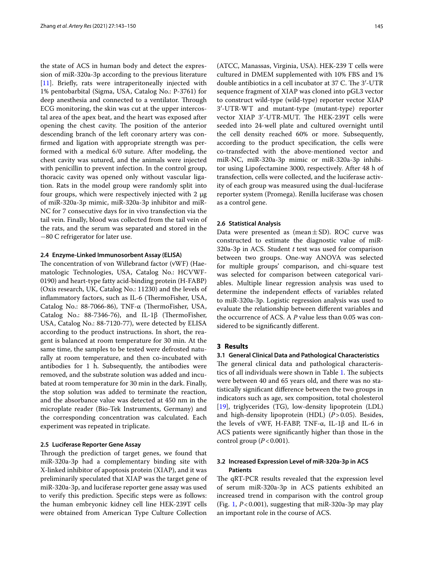the state of ACS in human body and detect the expression of miR-320a-3p according to the previous literature [[11\]](#page-7-7). Briefly, rats were intraperitoneally injected with 1% pentobarbital (Sigma, USA, Catalog No.: P-3761) for deep anesthesia and connected to a ventilator. Through ECG monitoring, the skin was cut at the upper intercostal area of the apex beat, and the heart was exposed after opening the chest cavity. The position of the anterior descending branch of the left coronary artery was confrmed and ligation with appropriate strength was performed with a medical 6/0 suture. After modeling, the chest cavity was sutured, and the animals were injected with penicillin to prevent infection. In the control group, thoracic cavity was opened only without vascular ligation. Rats in the model group were randomly split into four groups, which were respectively injected with 2 μg of miR-320a-3p mimic, miR-320a-3p inhibitor and miR-NC for 7 consecutive days for in vivo transfection via the tail vein. Finally, blood was collected from the tail vein of the rats, and the serum was separated and stored in the −80 C refrigerator for later use.

# **2.4 Enzyme‑Linked Immunosorbent Assay (ELISA)**

The concentration of von Willebrand factor (vWF) (Haematologic Technologies, USA, Catalog No.: HCVWF-0190) and heart-type fatty acid-binding protein (H-FABP) (Oxis research, UK, Catalog No.: 11230) and the levels of inflammatory factors, such as IL-6 (ThermoFisher, USA, Catalog No.: 88-7066-86), TNF-α (ThermoFisher, USA, Catalog No.: 88-7346-76), and IL-1 $\beta$  (ThermoFisher, USA, Catalog No.: 88-7120-77), were detected by ELISA according to the product instructions. In short, the reagent is balanced at room temperature for 30 min. At the same time, the samples to be tested were defrosted naturally at room temperature, and then co-incubated with antibodies for 1 h. Subsequently, the antibodies were removed, and the substrate solution was added and incubated at room temperature for 30 min in the dark. Finally, the stop solution was added to terminate the reaction, and the absorbance value was detected at 450 nm in the microplate reader (Bio-Tek Instruments, Germany) and the corresponding concentration was calculated. Each experiment was repeated in triplicate.

# **2.5 Luciferase Reporter Gene Assay**

Through the prediction of target genes, we found that miR-320a-3p had a complementary binding site with X-linked inhibitor of apoptosis protein (XIAP), and it was preliminarily speculated that XIAP was the target gene of miR-320a-3p, and luciferase reporter gene assay was used to verify this prediction. Specifc steps were as follows: the human embryonic kidney cell line HEK-239T cells were obtained from American Type Culture Collection (ATCC, Manassas, Virginia, USA). HEK-239 T cells were cultured in DMEM supplemented with 10% FBS and 1% double antibiotics in a cell incubator at 37 C. The 3'-UTR sequence fragment of XIAP was cloned into pGL3 vector to construct wild-type (wild-type) reporter vector XIAP 3′-UTR-WT and mutant-type (mutant-type) reporter vector XIAP 3'-UTR-MUT. The HEK-239T cells were seeded into 24-well plate and cultured overnight until the cell density reached 60% or more. Subsequently, according to the product specifcation, the cells were co-transfected with the above-mentioned vector and miR-NC, miR-320a-3p mimic or miR-320a-3p inhibitor using Lipofectamine 3000, respectively. After 48 h of transfection, cells were collected, and the luciferase activity of each group was measured using the dual-luciferase reporter system (Promega). Renilla luciferase was chosen as a control gene.

## **2.6 Statistical Analysis**

Data were presented as (mean $\pm$ SD). ROC curve was constructed to estimate the diagnostic value of miR-320a-3p in ACS. Student *t* test was used for comparison between two groups. One-way ANOVA was selected for multiple groups' comparison, and chi-square test was selected for comparison between categorical variables. Multiple linear regression analysis was used to determine the independent efects of variables related to miR-320a-3p. Logistic regression analysis was used to evaluate the relationship between diferent variables and the occurrence of ACS. A *P* value less than 0.05 was considered to be signifcantly diferent.

## **3 Results**

## **3.1 General Clinical Data and Pathological Characteristics**

The general clinical data and pathological characteris-tics of all individuals were shown in Table [1.](#page-3-0) The subjects were between 40 and 65 years old, and there was no statistically signifcant diference between the two groups in indicators such as age, sex composition, total cholesterol [[19\]](#page-7-15), triglycerides (TG), low-density lipoprotein (LDL) and high-density lipoprotein (HDL) (*P*>0.05). Besides, the levels of vWF, H-FABP, TNF- $\alpha$ , IL-1β and IL-6 in ACS patients were signifcantly higher than those in the control group  $(P<0.001)$ .

# **3.2 Increased Expression Level of miR‑320a‑3p in ACS Patients**

The qRT-PCR results revealed that the expression level of serum miR-320a-3p in ACS patients exhibited an increased trend in comparison with the control group (Fig. [1,](#page-3-1) *P*<0.001), suggesting that miR-320a-3p may play an important role in the course of ACS.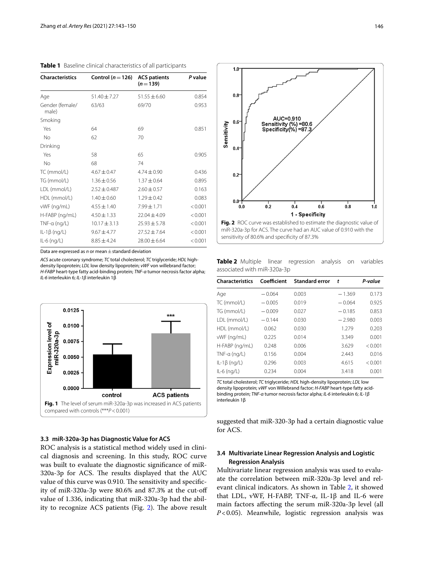<span id="page-3-0"></span>

| <b>Characteristics</b>   | Control ( $n = 126$ ) | <b>ACS patients</b><br>$(n=139)$ | P value |
|--------------------------|-----------------------|----------------------------------|---------|
| Age                      | 51.40±7.27            | $51.55 \pm 6.60$                 | 0.854   |
| Gender (female/<br>male) | 63/63                 | 69/70                            | 0.953   |
| Smoking                  |                       |                                  |         |
| Yes                      | 64                    | 69                               | 0.851   |
| No                       | 62                    | 70                               |         |
| Drinking                 |                       |                                  |         |
| Yes                      | 58                    | 65                               | 0.905   |
| No                       | 68                    | 74                               |         |
| TC (mmol/L)              | $4.67 \pm 0.47$       | $4.74 \pm 0.90$                  | 0.436   |
| TG (mmol/L)              | $1.36 \pm 0.56$       | $1.37 \pm 0.64$                  | 0.895   |
| LDL (mmol/L)             | $2.52 \pm 0.487$      | $2.60 \pm 0.57$                  | 0.163   |
| HDL (mmol/L)             | $1.40 \pm 0.60$       | $1.29 \pm 0.42$                  | 0.083   |
| vWF (ng/mL)              | $4.55 \pm 1.40$       | $7.99 \pm 1.71$                  | < 0.001 |
| H-FABP (ng/mL)           | $4.50 \pm 1.33$       | $22.04 + 4.09$                   | < 0.001 |
| $TNF-a$ (ng/L)           | $10.17 \pm 3.13$      | $25.93 \pm 5.78$                 | < 0.001 |
| $IL-1\beta$ (ng/L)       | $9.67 + 4.77$         | $27.52 \pm 7.64$                 | < 0.001 |
| $IL-6$ (ng/L)            | $8.85 \pm 4.24$       | $28.00 \pm 6.64$                 | < 0.001 |

Data are expressed as *n* or mean±standard deviation

*ACS* acute coronary syndrome; *TC* total cholesterol; *TC* triglyceride; *HDL* highdensity lipoprotein; *LDL* low density lipoprotein; *vWF* von willebrand factor; *H-FABP* heart-type fatty acid-binding protein; *TNF-α* tumor necrosis factor alpha; *IL-6* interleukin 6; *IL-1β* interleukin 1β



# <span id="page-3-1"></span>**3.3 miR‑320a‑3p has Diagnostic Value for ACS**

ROC analysis is a statistical method widely used in clinical diagnosis and screening. In this study, ROC curve was built to evaluate the diagnostic signifcance of miR-320a-3p for ACS. The results displayed that the AUC value of this curve was 0.910. The sensitivity and specificity of miR-320a-3p were 80.6% and 87.3% at the cut-of value of 1.336, indicating that miR-320a-3p had the abil-ity to recognize ACS patients (Fig. [2\)](#page-3-2). The above result



<span id="page-3-3"></span><span id="page-3-2"></span>**Table 2** Multiple linear regression analysis on variables associated with miR-320a-3p

| <b>Characteristics</b> | Coefficient | <b>Standard error</b> | t        | P-value |
|------------------------|-------------|-----------------------|----------|---------|
| Age                    | $-0.064$    | 0.003                 | $-1.369$ | 0.173   |
| TC (mmol/L)            | $-0.005$    | 0.019                 | $-0.064$ | 0.925   |
| TG (mmol/L)            | $-0.009$    | 0.027                 | $-0.185$ | 0.853   |
| LDL (mmol/L)           | $-0.144$    | 0.030                 | $-2.980$ | 0.003   |
| HDL (mmol/L)           | 0.062       | 0.030                 | 1.279    | 0.203   |
| vWF (ng/mL)            | 0.225       | 0.014                 | 3.349    | 0.001   |
| H-FABP (ng/mL)         | 0.248       | 0.006                 | 3.629    | < 0.001 |
| $TNF-a$ (ng/L)         | 0.156       | 0.004                 | 2.443    | 0.016   |
| $IL-1\beta$ (ng/L)     | 0.296       | 0.003                 | 4.615    | < 0.001 |
| $IL-6$ (ng/L)          | 0.234       | 0.004                 | 3.418    | 0.001   |
|                        |             |                       |          |         |

*TC* total cholesterol; *TC* triglyceride; *HDL* high-density lipoprotein; *LDL* low density lipoprotein; *vWF* von Willebrand factor; *H-FABP* heart-type fatty acidbinding protein; *TNF-α* tumor necrosis factor alpha; *IL-6* interleukin 6; *IL-1β* interleukin 1β

suggested that miR-320-3p had a certain diagnostic value for ACS.

# **3.4 Multivariate Linear Regression Analysis and Logistic Regression Analysis**

Multivariate linear regression analysis was used to evaluate the correlation between miR-320a-3p level and relevant clinical indicators. As shown in Table [2](#page-3-3), it showed that LDL, vWF, H-FABP, TNF- $\alpha$ , IL-1β and IL-6 were main factors afecting the serum miR-320a-3p level (all *P*<0.05). Meanwhile, logistic regression analysis was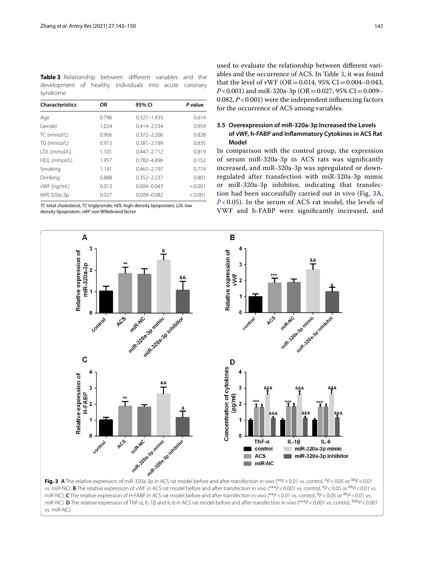<span id="page-4-0"></span>**Table 3** Relationship between different variables and the development of healthy individuals into acute coronary syndrome

| <b>Characteristics</b> | <b>OR</b> | 95% CI          | P value |
|------------------------|-----------|-----------------|---------|
| Age                    | 0.796     | $0.327 - 1.935$ | 0.614   |
| Gender                 | 1.024     | 0.414-2.534     | 0.959   |
| TC (mmol/L)            | 0.906     | $0.372 - 2.206$ | 0.828   |
| TG (mmol/L)            | 0.913     | $0.381 - 2.189$ | 0.835   |
| LDL (mmol/L)           | 1.101     | $0.447 - 2.712$ | 0.819   |
| HDL (mmol/L)           | 1.957     | 0.782-4.896     | 0.152   |
| Smoking                | 1.141     | $0.465 - 2.797$ | 0.774   |
| Drinking               | 0.888     | $0.352 - 2.237$ | 0.801   |
| vWF (ng/mL)            | 0.013     | $0.004 - 0.043$ | < 0.001 |
| MiR-320a-3p            | 0.027     | $0.009 - 0.082$ | < 0.001 |

*TC* total cholesterol; *TC* triglyceride; *HDL* high-density lipoprotein; *LDL* low density lipoprotein; *vWF* von Willebrand factor

<span id="page-4-1"></span>vs. miR-NC)

used to evaluate the relationship between diferent variables and the occurrence of ACS. In Table [3,](#page-4-0) it was found that the level of vWF ( $OR = 0.014$ , 95%  $CI = 0.004 - 0.043$ ,  $P < 0.001$ ) and miR-320a-3p (OR = 0.027, 95% CI = 0.009– 0.082, *P*<0.001) were the independent infuencing factors for the occurrence of ACS among variables.

# **3.5 Overexpression of miR‑320a‑3p Increased the Levels of vWF, h‑FABP and Infammatory Cytokines in ACS Rat Model**

In comparison with the control group, the expression of serum miR-320a-3p in ACS rats was signifcantly increased, and miR-320a-3p was upregulated or downregulated after transfection with miR-320a-3p mimic or miR-320a-3p inhibitor, indicating that transfection had been successfully carried out in vivo (Fig. [3A](#page-4-1), *[P](#page-4-1)* < 0.05). In the serum of ACS rat model, the levels of VWF and h-FABP were signifcantly increased, and

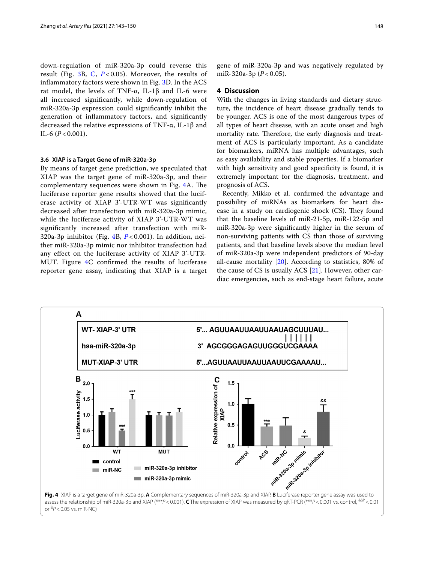down-regulation of miR-320a-3p could reverse this result (Fig. [3B](#page-4-1), [C](#page-4-1), *[P](#page-4-1)* < 0.05). Moreover, the results of infammatory factors were shown in Fig. [3D](#page-4-1). In the ACS rat model, the levels of TNF-α, IL-1β and IL-6 were all increased signifcantly, while down-regulation of miR-320a-3p expression could signifcantly inhibit the generation of infammatory factors, and signifcantly decreased the relative expressions of TNF-α, IL-1β and IL-6  $(P < 0.001)$ .

### **3.6 XIAP is a Target Gene of miR‑320a‑3p**

By means of target gene prediction, we speculated that XIAP was the target gene of miR-320a-3p, and their complementary sequences were shown in Fig. [4A](#page-5-0). The luciferase reporter gene results showed that the luciferase activity of XIAP 3'-UTR-WT was signifcantly decreased after transfection with miR-320a-3p mimic, while the luciferase activity of XIAP 3'-UTR-WT was signifcantly increased after transfection with miR-320a-3p inhibitor (Fig. [4](#page-5-0)B, *[P](#page-5-0)* < 0.001). In addition, neither miR-320a-3p mimic nor inhibitor transfection had any efect on the luciferase activity of XIAP 3'-UTR-MUT. Figure [4](#page-5-0)C confrmed the results of luciferase reporter gene assay, indicating that XIAP is a target gene of miR-320a-3p and was negatively regulated by miR-320a-3p (*P* < 0.05).

## **4 Discussion**

With the changes in living standards and dietary structure, the incidence of heart disease gradually tends to be younger. ACS is one of the most dangerous types of all types of heart disease, with an acute onset and high mortality rate. Therefore, the early diagnosis and treatment of ACS is particularly important. As a candidate for biomarkers, miRNA has multiple advantages, such as easy availability and stable properties. If a biomarker with high sensitivity and good specificity is found, it is extremely important for the diagnosis, treatment, and prognosis of ACS.

Recently, Mikko et al. confrmed the advantage and possibility of miRNAs as biomarkers for heart disease in a study on cardiogenic shock (CS). They found that the baseline levels of miR-21-5p, miR-122-5p and miR-320a-3p were signifcantly higher in the serum of non-surviving patients with CS than those of surviving patients, and that baseline levels above the median level of miR-320a-3p were independent predictors of 90-day all-cause mortality  $[20]$  $[20]$ . According to statistics, 80% of the cause of CS is usually ACS  $[21]$  $[21]$ . However, other cardiac emergencies, such as end-stage heart failure, acute

<span id="page-5-0"></span>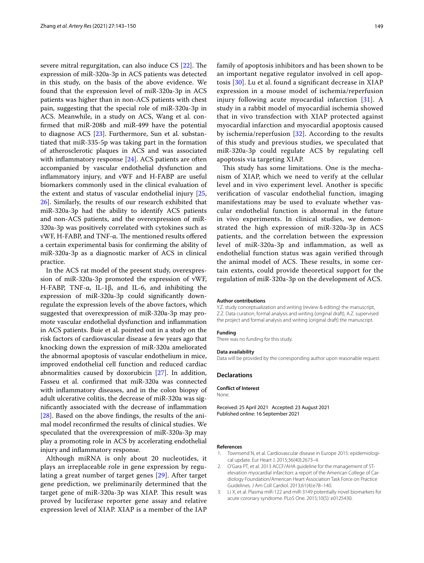severe mitral regurgitation, can also induce  $CS$  [[22\]](#page-7-18). The expression of miR-320a-3p in ACS patients was detected in this study, on the basis of the above evidence. We found that the expression level of miR-320a-3p in ACS patients was higher than in non-ACS patients with chest pain, suggesting that the special role of miR-320a-3p in ACS. Meanwhile, in a study on ACS, Wang et al. confrmed that miR-208b and miR-499 have the potential to diagnose ACS [\[23](#page-7-19)]. Furthermore, Sun et al. substantiated that miR-335-5p was taking part in the formation of atherosclerotic plaques in ACS and was associated with inflammatory response [[24\]](#page-7-20). ACS patients are often accompanied by vascular endothelial dysfunction and infammatory injury, and vWF and H-FABP are useful biomarkers commonly used in the clinical evaluation of the extent and status of vascular endothelial injury [\[25](#page-7-21), [26\]](#page-7-22). Similarly, the results of our research exhibited that miR-320a-3p had the ability to identify ACS patients and non-ACS patients, and the overexpression of miR-320a-3p was positively correlated with cytokines such as vWF, H-FABP, and TNF-α. The mentioned results offered a certain experimental basis for confrming the ability of miR-320a-3p as a diagnostic marker of ACS in clinical practice.

In the ACS rat model of the present study, overexpression of miR-320a-3p promoted the expression of vWF, H-FABP, TNF-α, IL-1β, and IL-6, and inhibiting the expression of miR-320a-3p could signifcantly downregulate the expression levels of the above factors, which suggested that overexpression of miR-320a-3p may promote vascular endothelial dysfunction and infammation in ACS patients. Buie et al. pointed out in a study on the risk factors of cardiovascular disease a few years ago that knocking down the expression of miR-320a ameliorated the abnormal apoptosis of vascular endothelium in mice, improved endothelial cell function and reduced cardiac abnormalities caused by doxorubicin [\[27](#page-7-23)]. In addition, Fasseu et al. confrmed that miR-320a was connected with infammatory diseases, and in the colon biopsy of adult ulcerative colitis, the decrease of miR-320a was signifcantly associated with the decrease of infammation [[28\]](#page-7-24). Based on the above fndings, the results of the animal model reconfrmed the results of clinical studies. We speculated that the overexpression of miR-320a-3p may play a promoting role in ACS by accelerating endothelial injury and infammatory response.

Although miRNA is only about 20 nucleotides, it plays an irreplaceable role in gene expression by regulating a great number of target genes [[29\]](#page-7-25). After target gene prediction, we preliminarily determined that the target gene of miR-320a-3p was XIAP. This result was proved by luciferase reporter gene assay and relative expression level of XIAP. XIAP is a member of the IAP family of apoptosis inhibitors and has been shown to be an important negative regulator involved in cell apoptosis [[30](#page-7-26)]. Lu et al. found a signifcant decrease in XIAP expression in a mouse model of ischemia/reperfusion injury following acute myocardial infarction [\[31\]](#page-7-27). A study in a rabbit model of myocardial ischemia showed that in vivo transfection with XIAP protected against myocardial infarction and myocardial apoptosis caused by ischemia/reperfusion [[32\]](#page-7-28). According to the results of this study and previous studies, we speculated that miR-320a-3p could regulate ACS by regulating cell apoptosis via targeting XIAP.

This study has some limitations. One is the mechanism of XIAP, which we need to verify at the cellular level and in vivo experiment level. Another is specifc verifcation of vascular endothelial function, imaging manifestations may be used to evaluate whether vascular endothelial function is abnormal in the future in vivo experiments. In clinical studies, we demonstrated the high expression of miR-320a-3p in ACS patients, and the correlation between the expression level of miR-320a-3p and infammation, as well as endothelial function status was again verifed through the animal model of ACS. These results, in some certain extents, could provide theoretical support for the regulation of miR-320a-3p on the development of ACS.

#### **Author contributions**

Y.Z. study conceptualization and writing (review & editing) the manuscript, Z.Z. Data curation, formal analysis and writing (original draft), A.Z. supervised the project and formal analysis and writing (original draft) the manuscript.

#### **Funding**

There was no funding for this study.

#### **Data availability**

Data will be provided by the corresponding author upon reasonable request.

## **Declarations**

**Conflict of Interest**

None.

Received: 25 April 2021 Accepted: 23 August 2021 Published online: 16 September 2021

#### **References**

- <span id="page-6-0"></span>Townsend N, et al. Cardiovascular disease in Europe 2015: epidemiological update. Eur Heart J. 2015;36(40):2673–4.
- <span id="page-6-1"></span>2. O'Gara PT, et al. 2013 ACCF/AHA guideline for the management of STelevation myocardial infarction: a report of the American College of Cardiology Foundation/American Heart Association Task Force on Practice Guidelines. J Am Coll Cardiol. 2013;61(4):e78–140.
- <span id="page-6-2"></span>3. Li X, et al. Plasma miR-122 and miR-3149 potentially novel biomarkers for acute coronary syndrome. PLoS One. 2015;10(5): e0125430.